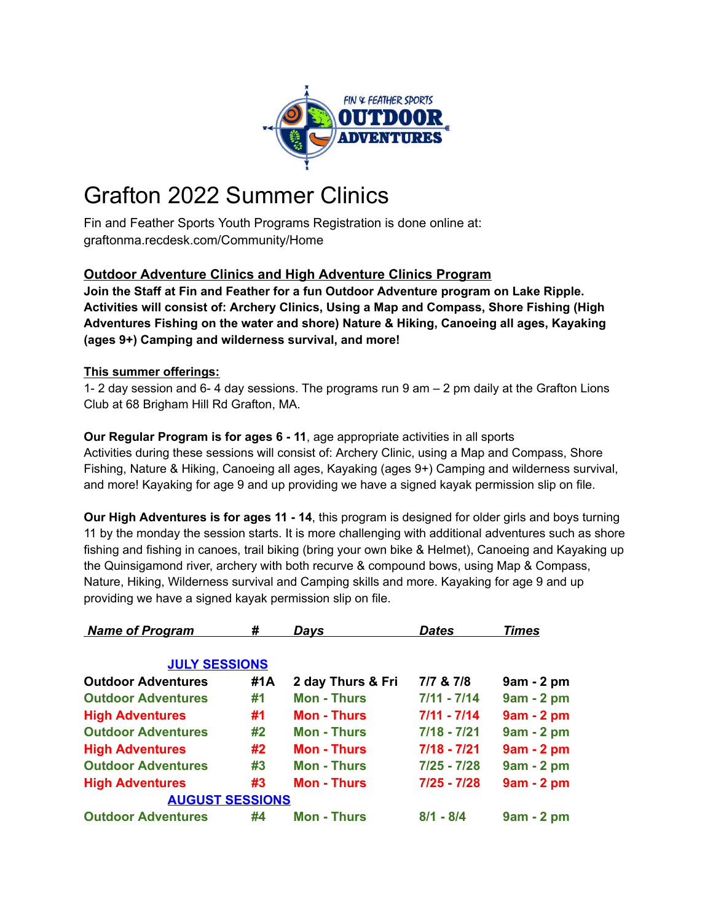

# Grafton 2022 Summer Clinics

Fin and Feather Sports Youth Programs Registration is done online at: graftonma.recdesk.com/Community/Home

# **Outdoor Adventure Clinics and High Adventure Clinics Program**

**Join the Staff at Fin and Feather for a fun Outdoor Adventure program on Lake Ripple. Activities will consist of: Archery Clinics, Using a Map and Compass, Shore Fishing (High Adventures Fishing on the water and shore) Nature & Hiking, Canoeing all ages, Kayaking (ages 9+) Camping and wilderness survival, and more!**

## **This summer offerings:**

1- 2 day session and 6- 4 day sessions. The programs run 9 am – 2 pm daily at the Grafton Lions Club at 68 Brigham Hill Rd Grafton, MA.

## **Our Regular Program is for ages 6 - 11**, age appropriate activities in all sports Activities during these sessions will consist of: Archery Clinic, using a Map and Compass, Shore Fishing, Nature & Hiking, Canoeing all ages, Kayaking (ages 9+) Camping and wilderness survival, and more! Kayaking for age 9 and up providing we have a signed kayak permission slip on file.

**Our High Adventures is for ages 11 - 14**, this program is designed for older girls and boys turning 11 by the monday the session starts. It is more challenging with additional adventures such as shore fishing and fishing in canoes, trail biking (bring your own bike & Helmet), Canoeing and Kayaking up the Quinsigamond river, archery with both recurve & compound bows, using Map & Compass, Nature, Hiking, Wilderness survival and Camping skills and more. Kayaking for age 9 and up providing we have a signed kayak permission slip on file.

| <b>Name of Program</b>    | #   | Davs               | <b>Dates</b>  | <b>Times</b> |
|---------------------------|-----|--------------------|---------------|--------------|
| <b>JULY SESSIONS</b>      |     |                    |               |              |
| <b>Outdoor Adventures</b> | #1A | 2 day Thurs & Fri  | 7/7 & 7/8     | $9am - 2pm$  |
| <b>Outdoor Adventures</b> | #1  | <b>Mon - Thurs</b> | $7/11 - 7/14$ | $9am - 2pm$  |
| <b>High Adventures</b>    | #1  | <b>Mon - Thurs</b> | $7/11 - 7/14$ | $9am - 2pm$  |
| <b>Outdoor Adventures</b> | #2  | <b>Mon - Thurs</b> | $7/18 - 7/21$ | 9am - 2 pm   |
| <b>High Adventures</b>    | #2  | <b>Mon - Thurs</b> | $7/18 - 7/21$ | $9am - 2pm$  |
| <b>Outdoor Adventures</b> | #3  | <b>Mon - Thurs</b> | 7/25 - 7/28   | $9am - 2pm$  |
| <b>High Adventures</b>    | #3  | <b>Mon - Thurs</b> | $7/25 - 7/28$ | $9am - 2pm$  |
| <b>AUGUST SESSIONS</b>    |     |                    |               |              |
| <b>Outdoor Adventures</b> | #4  | <b>Mon - Thurs</b> | $8/1 - 8/4$   | $9am - 2pm$  |